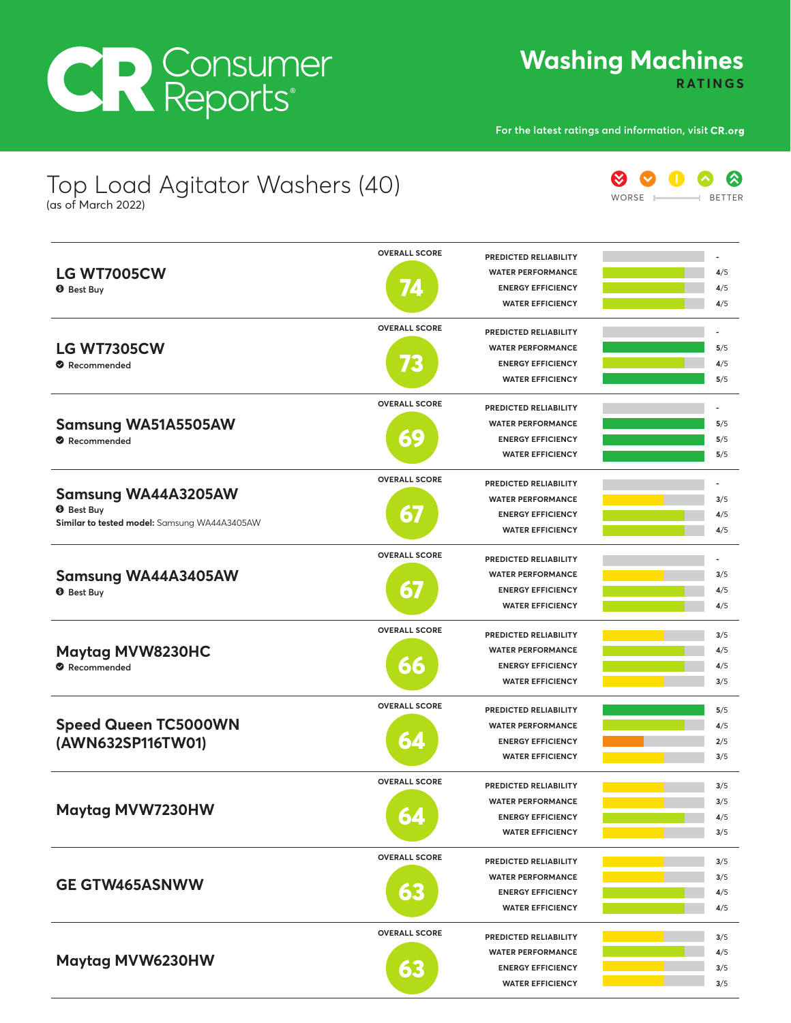# **CR Consumer**<br>Reports®

**Washing Machines RATINGS**

**For the latest ratings and information, visit**

**- 4**/5 **4**/5

8 8 9 8 9 WORSE **EXECUTED** BETTER

**3**/5

#### Top Load Agitator Washers (40) (as of March 2022) **LG WT7005CW**  $\Theta$  Best Buy **OVERALL SCORE PREDICTED RELIABILITY WATER PERFORMANCE ENERGY EFFICIENCY WATER EFFICIENCY LG WT7305CW** ! **Recommended 73 74**

**4**/5 **OVERALL SCORE PREDICTED RELIABILITY WATER PERFORMANCE ENERGY EFFICIENCY WATER EFFICIENCY - 5**/5 **4**/5 **5**/5 **Samsung WA51A5505AW** ! **Recommended OVERALL SCORE PREDICTED RELIABILITY WATER PERFORMANCE ENERGY EFFICIENCY WATER EFFICIENCY - 5**/5 **5**/5 **5**/5 **Samsung WA44A3205AW**  $\Theta$  Best Buy **Similar to tested model:** Samsung WA44A3405AW **OVERALL SCORE PREDICTED RELIABILITY WATER PERFORMANCE ENERGY EFFICIENCY WATER EFFICIENCY - 3**/5 **4**/5 **4**/5 **Samsung WA44A3405AW**  $\Theta$  Best Buy **OVERALL SCORE PREDICTED RELIABILITY WATER PERFORMANCE ENERGY EFFICIENCY WATER EFFICIENCY - 3**/5 **4**/5 **4**/5 **Maytag MVW8230HC** ! **Recommended OVERALL SCORE PREDICTED RELIABILITY WATER PERFORMANCE ENERGY EFFICIENCY WATER EFFICIENCY 3**/5 **4**/5 **4**/5 **3**/5 **Speed Queen TC5000WN (AWN632SP116TW01) OVERALL SCORE PREDICTED RELIABILITY WATER PERFORMANCE ENERGY EFFICIENCY WATER EFFICIENCY 5**/5 **4**/5 **2**/5 **3**/5 **Maytag MVW7230HW OVERALL SCORE PREDICTED RELIABILITY WATER PERFORMANCE ENERGY EFFICIENCY WATER EFFICIENCY 3**/5 **3**/5 **4**/5 **3**/5 **GE GTW465ASNWW OVERALL SCORE PREDICTED RELIABILITY WATER PERFORMANCE ENERGY EFFICIENCY WATER EFFICIENCY 3**/5 **3**/5 **4**/5 **4**/5 **Maytag MVW6230HW OVERALL SCORE PREDICTED RELIABILITY WATER PERFORMANCE ENERGY EFFICIENCY 3**/5 **4**/5 **3**/5 **66 67 67 69 64 64 63 63**

**WATER EFFICIENCY**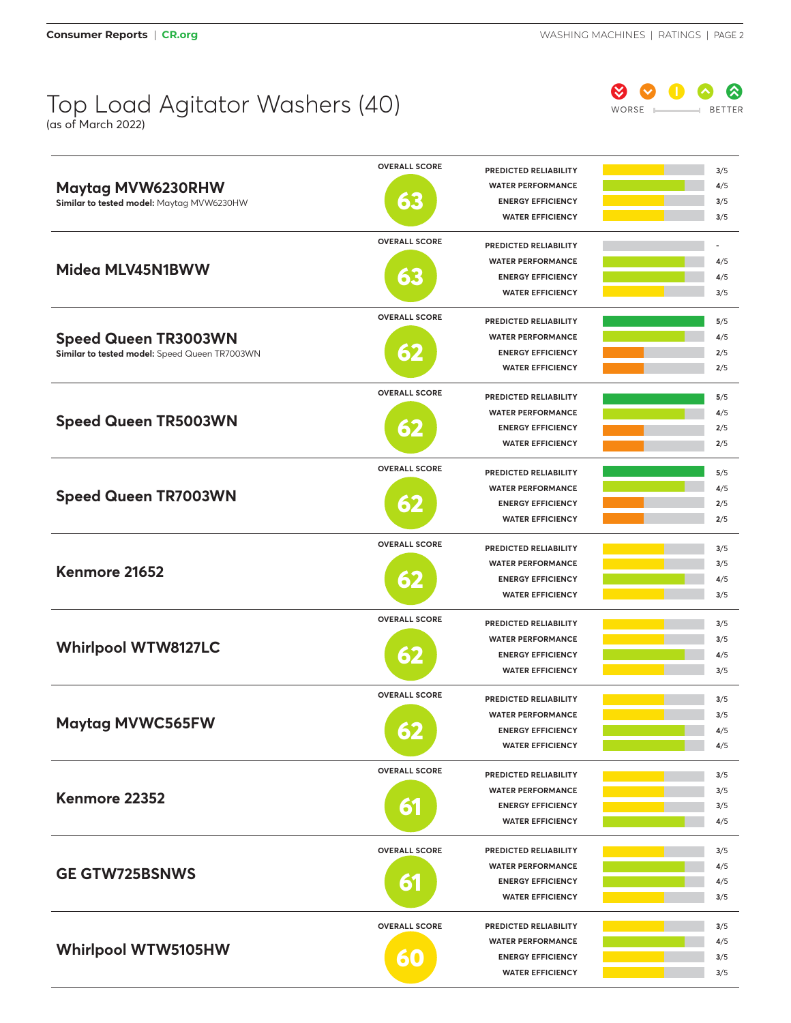#### Top Load Agitator Washers (40)

(as of March 2022)



| <b>Maytag MVW6230RHW</b><br>Similar to tested model: Maytag MVW6230HW | <b>OVERALL SCORE</b> | PREDICTED RELIABILITY        | 3/5 |
|-----------------------------------------------------------------------|----------------------|------------------------------|-----|
|                                                                       |                      | <b>WATER PERFORMANCE</b>     | 4/5 |
|                                                                       | 63                   | <b>ENERGY EFFICIENCY</b>     | 3/5 |
|                                                                       |                      | <b>WATER EFFICIENCY</b>      | 3/5 |
|                                                                       | <b>OVERALL SCORE</b> | PREDICTED RELIABILITY        |     |
|                                                                       |                      |                              |     |
| Midea MLV45N1BWW                                                      |                      | <b>WATER PERFORMANCE</b>     | 4/5 |
|                                                                       | $\bullet$            | <b>ENERGY EFFICIENCY</b>     | 4/5 |
|                                                                       |                      | <b>WATER EFFICIENCY</b>      | 3/5 |
|                                                                       | <b>OVERALL SCORE</b> | PREDICTED RELIABILITY        | 5/5 |
| <b>Speed Queen TR3003WN</b>                                           |                      | <b>WATER PERFORMANCE</b>     | 4/5 |
| Similar to tested model: Speed Queen TR7003WN                         | 52                   | <b>ENERGY EFFICIENCY</b>     | 2/5 |
|                                                                       |                      | <b>WATER EFFICIENCY</b>      | 2/5 |
|                                                                       | <b>OVERALL SCORE</b> | PREDICTED RELIABILITY        | 5/5 |
|                                                                       |                      | <b>WATER PERFORMANCE</b>     | 4/5 |
| <b>Speed Queen TR5003WN</b>                                           |                      | <b>ENERGY EFFICIENCY</b>     | 2/5 |
|                                                                       | $\mathbf{\Omega}$    | <b>WATER EFFICIENCY</b>      | 2/5 |
|                                                                       |                      |                              |     |
|                                                                       | <b>OVERALL SCORE</b> | PREDICTED RELIABILITY        | 5/5 |
|                                                                       |                      | <b>WATER PERFORMANCE</b>     | 4/5 |
| <b>Speed Queen TR7003WN</b>                                           | 62                   | <b>ENERGY EFFICIENCY</b>     | 2/5 |
|                                                                       |                      | <b>WATER EFFICIENCY</b>      | 2/5 |
|                                                                       | <b>OVERALL SCORE</b> | PREDICTED RELIABILITY        | 3/5 |
|                                                                       |                      | <b>WATER PERFORMANCE</b>     | 3/5 |
| Kenmore 21652                                                         | 6,                   | <b>ENERGY EFFICIENCY</b>     | 4/5 |
|                                                                       |                      | <b>WATER EFFICIENCY</b>      | 3/5 |
|                                                                       | <b>OVERALL SCORE</b> |                              |     |
|                                                                       |                      | <b>PREDICTED RELIABILITY</b> | 3/5 |
| <b>Whirlpool WTW8127LC</b>                                            |                      | <b>WATER PERFORMANCE</b>     | 3/5 |
|                                                                       | 62                   | <b>ENERGY EFFICIENCY</b>     | 4/5 |
|                                                                       |                      | <b>WATER EFFICIENCY</b>      | 3/5 |
|                                                                       | <b>OVERALL SCORE</b> | PREDICTED RELIABILITY        | 3/5 |
| <b>Maytag MVWC565FW</b>                                               |                      | <b>WATER PERFORMANCE</b>     | 3/5 |
|                                                                       | OZ                   | <b>ENERGY EFFICIENCY</b>     | 4/5 |
|                                                                       |                      | <b>WATER EFFICIENCY</b>      | 4/5 |
|                                                                       | <b>OVERALL SCORE</b> | PREDICTED RELIABILITY        | 3/5 |
|                                                                       |                      | <b>WATER PERFORMANCE</b>     | 3/5 |
| Kenmore 22352                                                         |                      | <b>ENERGY EFFICIENCY</b>     | 3/5 |
|                                                                       | 61                   | <b>WATER EFFICIENCY</b>      | 4/5 |
|                                                                       |                      |                              |     |
|                                                                       | <b>OVERALL SCORE</b> | PREDICTED RELIABILITY        | 3/5 |
| <b>GE GTW725BSNWS</b>                                                 |                      | <b>WATER PERFORMANCE</b>     | 4/5 |
|                                                                       | 61                   | <b>ENERGY EFFICIENCY</b>     | 4/5 |
|                                                                       |                      | <b>WATER EFFICIENCY</b>      | 3/5 |
|                                                                       | <b>OVERALL SCORE</b> | PREDICTED RELIABILITY        | 3/5 |
|                                                                       |                      | <b>WATER PERFORMANCE</b>     | 4/5 |
| <b>Whirlpool WTW5105HW</b>                                            |                      | <b>ENERGY EFFICIENCY</b>     | 3/5 |
|                                                                       |                      | <b>WATER EFFICIENCY</b>      | 3/5 |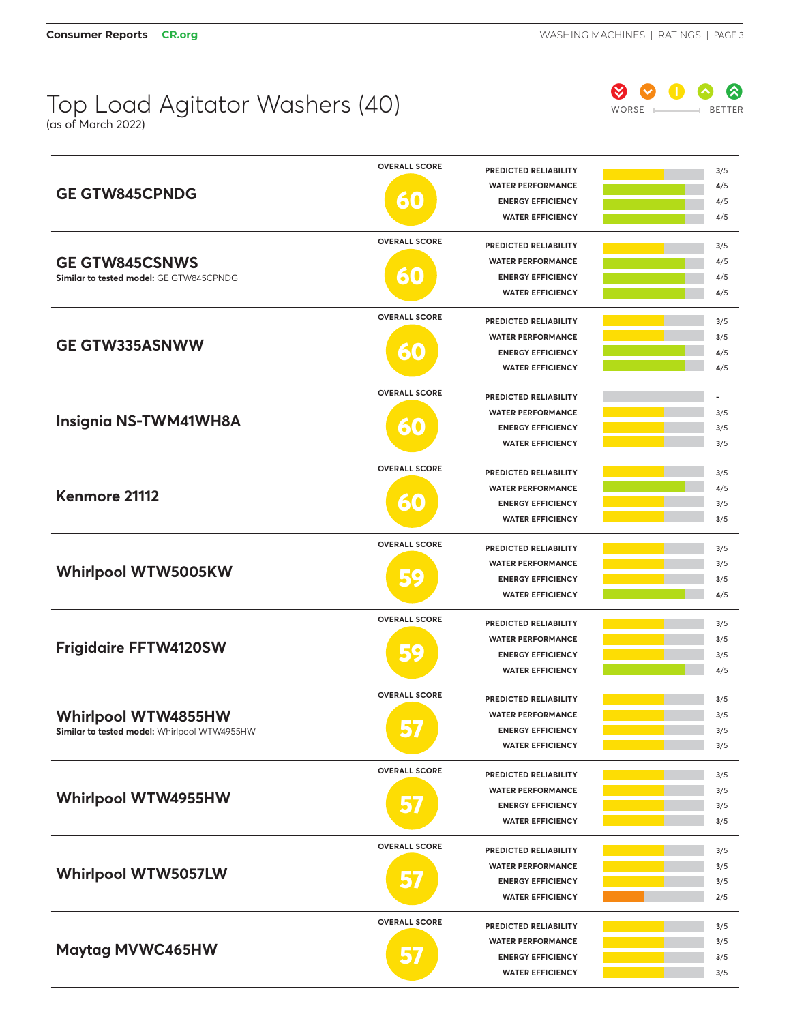### Top Load Agitator Washers (40)

(as of March 2022)



| <b>GE GTW845CPNDG</b>                                            | <b>OVERALL SCORE</b> | PREDICTED RELIABILITY                               | 3/5        |
|------------------------------------------------------------------|----------------------|-----------------------------------------------------|------------|
|                                                                  |                      | <b>WATER PERFORMANCE</b>                            | 4/5        |
|                                                                  | $\mathbf{\Omega}$    | <b>ENERGY EFFICIENCY</b>                            | 4/5        |
|                                                                  |                      | <b>WATER EFFICIENCY</b>                             | 4/5        |
|                                                                  | <b>OVERALL SCORE</b> |                                                     |            |
| <b>GE GTW845CSNWS</b><br>Similar to tested model: GE GTW845CPNDG |                      | PREDICTED RELIABILITY                               | 3/5        |
|                                                                  |                      | <b>WATER PERFORMANCE</b>                            | 4/5        |
|                                                                  | 60                   | <b>ENERGY EFFICIENCY</b><br><b>WATER EFFICIENCY</b> | 4/5<br>4/5 |
|                                                                  |                      |                                                     |            |
|                                                                  | <b>OVERALL SCORE</b> | <b>PREDICTED RELIABILITY</b>                        | 3/5        |
|                                                                  |                      | <b>WATER PERFORMANCE</b>                            | 3/5        |
| <b>GE GTW335ASNWW</b>                                            | $\mathbf{J}$         | <b>ENERGY EFFICIENCY</b>                            | 4/5        |
|                                                                  |                      | <b>WATER EFFICIENCY</b>                             | 4/5        |
|                                                                  | <b>OVERALL SCORE</b> |                                                     |            |
|                                                                  |                      | PREDICTED RELIABILITY                               |            |
| Insignia NS-TWM41WH8A                                            |                      | <b>WATER PERFORMANCE</b>                            | 3/5        |
|                                                                  | 60                   | <b>ENERGY EFFICIENCY</b>                            | 3/5        |
|                                                                  |                      | <b>WATER EFFICIENCY</b>                             | 3/5        |
|                                                                  | <b>OVERALL SCORE</b> | PREDICTED RELIABILITY                               | 3/5        |
|                                                                  |                      | <b>WATER PERFORMANCE</b>                            | 4/5        |
| Kenmore 21112                                                    | $\mathbf{J}$         | <b>ENERGY EFFICIENCY</b>                            | 3/5        |
|                                                                  |                      | <b>WATER EFFICIENCY</b>                             | 3/5        |
|                                                                  | <b>OVERALL SCORE</b> |                                                     |            |
|                                                                  |                      | PREDICTED RELIABILITY                               | 3/5        |
| Whirlpool WTW5005KW                                              | ۰                    | <b>WATER PERFORMANCE</b>                            | 3/5        |
|                                                                  |                      | <b>ENERGY EFFICIENCY</b>                            | 3/5        |
|                                                                  |                      | <b>WATER EFFICIENCY</b>                             | 4/5        |
|                                                                  | <b>OVERALL SCORE</b> | PREDICTED RELIABILITY                               | 3/5        |
|                                                                  |                      | <b>WATER PERFORMANCE</b>                            | 3/5        |
| <b>Frigidaire FFTW4120SW</b>                                     |                      | <b>ENERGY EFFICIENCY</b>                            | 3/5        |
|                                                                  |                      | <b>WATER EFFICIENCY</b>                             | 4/5        |
|                                                                  | <b>OVERALL SCORE</b> |                                                     |            |
|                                                                  |                      | PREDICTED RELIABILITY<br><b>WATER PERFORMANCE</b>   | 3/5<br>3/5 |
| <b>Whirlpool WTW4855HW</b>                                       |                      | <b>ENERGY EFFICIENCY</b>                            | 3/5        |
| Similar to tested model: Whirlpool WTW4955HW                     |                      | <b>WATER EFFICIENCY</b>                             | 3/5        |
|                                                                  |                      |                                                     |            |
|                                                                  | <b>OVERALL SCORE</b> | PREDICTED RELIABILITY                               | 3/5        |
|                                                                  |                      | <b>WATER PERFORMANCE</b>                            | 3/5        |
| Whirlpool WTW4955HW                                              |                      | <b>ENERGY EFFICIENCY</b>                            | 3/5        |
|                                                                  |                      | <b>WATER EFFICIENCY</b>                             | 3/5        |
|                                                                  | <b>OVERALL SCORE</b> | PREDICTED RELIABILITY                               |            |
|                                                                  |                      | <b>WATER PERFORMANCE</b>                            | 3/5        |
| <b>Whirlpool WTW5057LW</b>                                       |                      | <b>ENERGY EFFICIENCY</b>                            | 3/5<br>3/5 |
|                                                                  |                      | <b>WATER EFFICIENCY</b>                             | 2/5        |
|                                                                  |                      |                                                     |            |
| <b>Maytag MVWC465HW</b>                                          | <b>OVERALL SCORE</b> | PREDICTED RELIABILITY                               | 3/5        |
|                                                                  |                      | <b>WATER PERFORMANCE</b>                            | 3/5        |
|                                                                  |                      | <b>ENERGY EFFICIENCY</b>                            | 3/5        |
|                                                                  |                      | <b>WATER EFFICIENCY</b>                             | 3/5        |
|                                                                  |                      |                                                     |            |